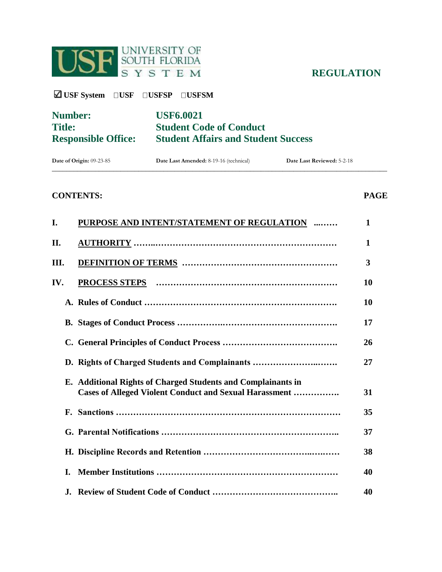

**REGULATION** 

**USF System USF USFSP USFSM** 

| <b>Number:</b>             | <b>USF6.0021</b>                           |
|----------------------------|--------------------------------------------|
| <b>Title:</b>              | <b>Student Code of Conduct</b>             |
| <b>Responsible Office:</b> | <b>Student Affairs and Student Success</b> |

| Date of Origin:<br>. $00.2^{\circ}$<br>3-85 | <b>Date Last Amended: 8-19-1</b><br>$\sim$<br>technical) | Date Last Reviewed: |
|---------------------------------------------|----------------------------------------------------------|---------------------|
| ____________                                |                                                          |                     |

# **CONTENTS: PAGE**

| I.   |    | PURPOSE AND INTENT/STATEMENT OF REGULATION                                                                                     | 1  |
|------|----|--------------------------------------------------------------------------------------------------------------------------------|----|
| П.   |    |                                                                                                                                | 1  |
| III. |    |                                                                                                                                | 3  |
| IV.  |    |                                                                                                                                | 10 |
|      |    |                                                                                                                                | 10 |
|      |    |                                                                                                                                | 17 |
|      |    |                                                                                                                                | 26 |
|      |    | D. Rights of Charged Students and Complainants                                                                                 | 27 |
|      |    | E. Additional Rights of Charged Students and Complainants in<br><b>Cases of Alleged Violent Conduct and Sexual Harassment </b> | 31 |
|      |    |                                                                                                                                | 35 |
|      |    |                                                                                                                                | 37 |
|      |    |                                                                                                                                | 38 |
|      | L. |                                                                                                                                | 40 |
|      | J. |                                                                                                                                | 40 |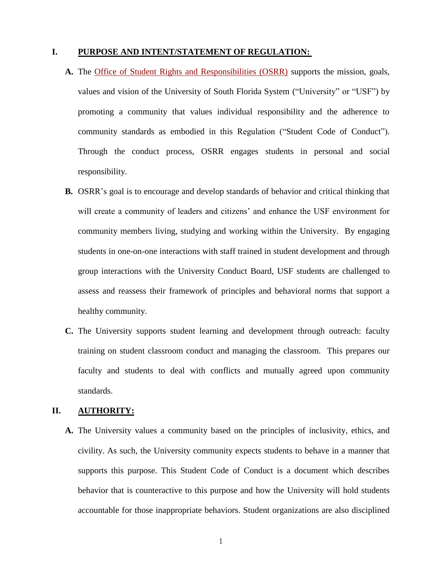# **I. PURPOSE AND INTENT/STATEMENT OF REGULATION:**

- **A.** The [Office of Student Rights and Responsibilities \(OSRR\)](http://www.sa.usf.edu/srr/page.asp?id=69) supports the mission, goals, values and vision of the University of South Florida System ("University" or "USF") by promoting a community that values individual responsibility and the adherence to community standards as embodied in this Regulation ("Student Code of Conduct"). Through the conduct process, OSRR engages students in personal and social responsibility.
- **B.** OSRR's goal is to encourage and develop standards of behavior and critical thinking that will create a community of leaders and citizens' and enhance the USF environment for community members living, studying and working within the University. By engaging students in one-on-one interactions with staff trained in student development and through group interactions with the University Conduct Board, USF students are challenged to assess and reassess their framework of principles and behavioral norms that support a healthy community.
- **C.** The University supports student learning and development through outreach: faculty training on student classroom conduct and managing the classroom. This prepares our faculty and students to deal with conflicts and mutually agreed upon community standards.

# **II. AUTHORITY:**

**A.** The University values a community based on the principles of inclusivity, ethics, and civility. As such, the University community expects students to behave in a manner that supports this purpose. This Student Code of Conduct is a document which describes behavior that is counteractive to this purpose and how the University will hold students accountable for those inappropriate behaviors. Student organizations are also disciplined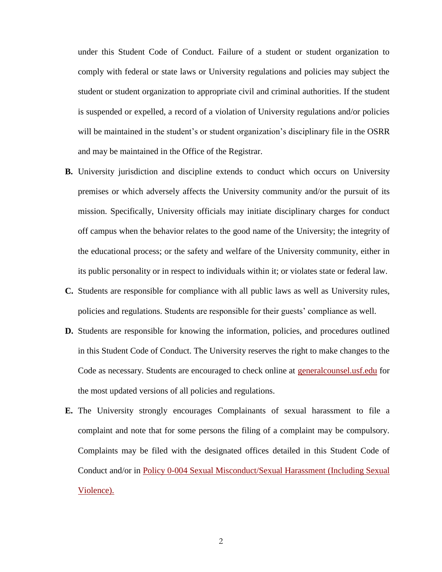under this Student Code of Conduct. Failure of a student or student organization to comply with federal or state laws or University regulations and policies may subject the student or student organization to appropriate civil and criminal authorities. If the student is suspended or expelled, a record of a violation of University regulations and/or policies will be maintained in the student's or student organization's disciplinary file in the OSRR and may be maintained in the Office of the Registrar.

- **B.** University jurisdiction and discipline extends to conduct which occurs on University premises or which adversely affects the University community and/or the pursuit of its mission. Specifically, University officials may initiate disciplinary charges for conduct off campus when the behavior relates to the good name of the University; the integrity of the educational process; or the safety and welfare of the University community, either in its public personality or in respect to individuals within it; or violates state or federal law.
- **C.** Students are responsible for compliance with all public laws as well as University rules, policies and regulations. Students are responsible for their guests' compliance as well.
- **D.** Students are responsible for knowing the information, policies, and procedures outlined in this Student Code of Conduct. The University reserves the right to make changes to the Code as necessary. Students are encouraged to check online at [generalcounsel.usf.edu](file://///forest.usf.edu/files/ogc/Docs/Admin/KSK/REGS/6.0021/generalcounsel.usf.edu) for the most updated versions of all policies and regulations.
- **E.** The University strongly encourages Complainants of sexual harassment to file a complaint and note that for some persons the filing of a complaint may be compulsory. Complaints may be filed with the designated offices detailed in this Student Code of Conduct and/or in [Policy 0-004 Sexual Misconduct/Sexual Harassment \(Including Sexual](http://regulationspolicies.usf.edu/policies-and-procedures/pdfs/policy-0-004.pdf)  [Violence\).](http://regulationspolicies.usf.edu/policies-and-procedures/pdfs/policy-0-004.pdf)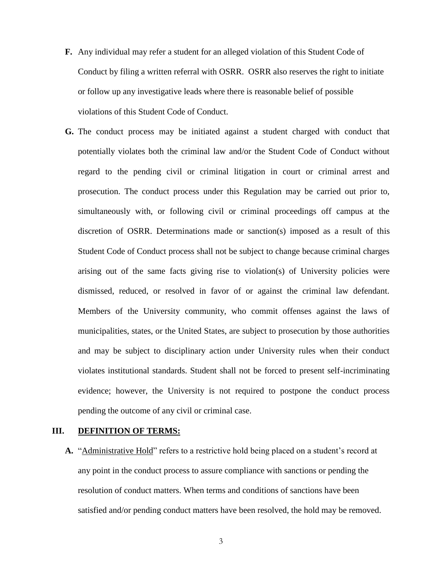- **F.** Any individual may refer a student for an alleged violation of this Student Code of Conduct by filing a written referral with OSRR. OSRR also reserves the right to initiate or follow up any investigative leads where there is reasonable belief of possible violations of this Student Code of Conduct.
- **G.** The conduct process may be initiated against a student charged with conduct that potentially violates both the criminal law and/or the Student Code of Conduct without regard to the pending civil or criminal litigation in court or criminal arrest and prosecution. The conduct process under this Regulation may be carried out prior to, simultaneously with, or following civil or criminal proceedings off campus at the discretion of OSRR. Determinations made or sanction(s) imposed as a result of this Student Code of Conduct process shall not be subject to change because criminal charges arising out of the same facts giving rise to violation(s) of University policies were dismissed, reduced, or resolved in favor of or against the criminal law defendant. Members of the University community, who commit offenses against the laws of municipalities, states, or the United States, are subject to prosecution by those authorities and may be subject to disciplinary action under University rules when their conduct violates institutional standards. Student shall not be forced to present self-incriminating evidence; however, the University is not required to postpone the conduct process pending the outcome of any civil or criminal case.

### **III. DEFINITION OF TERMS:**

**A.** "Administrative Hold" refers to a restrictive hold being placed on a student's record at any point in the conduct process to assure compliance with sanctions or pending the resolution of conduct matters. When terms and conditions of sanctions have been satisfied and/or pending conduct matters have been resolved, the hold may be removed.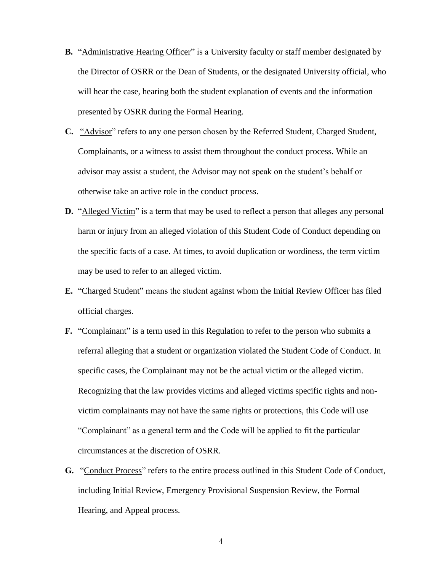- **B.** "Administrative Hearing Officer" is a University faculty or staff member designated by the Director of OSRR or the Dean of Students, or the designated University official, who will hear the case, hearing both the student explanation of events and the information presented by OSRR during the Formal Hearing.
- **C.** "Advisor" refers to any one person chosen by the Referred Student, Charged Student, Complainants, or a witness to assist them throughout the conduct process. While an advisor may assist a student, the Advisor may not speak on the student's behalf or otherwise take an active role in the conduct process.
- **D.** "Alleged Victim" is a term that may be used to reflect a person that alleges any personal harm or injury from an alleged violation of this Student Code of Conduct depending on the specific facts of a case. At times, to avoid duplication or wordiness, the term victim may be used to refer to an alleged victim.
- **E.** "Charged Student" means the student against whom the Initial Review Officer has filed official charges.
- **F.** "Complainant" is a term used in this Regulation to refer to the person who submits a referral alleging that a student or organization violated the Student Code of Conduct. In specific cases, the Complainant may not be the actual victim or the alleged victim. Recognizing that the law provides victims and alleged victims specific rights and nonvictim complainants may not have the same rights or protections, this Code will use "Complainant" as a general term and the Code will be applied to fit the particular circumstances at the discretion of OSRR.
- **G.** "Conduct Process" refers to the entire process outlined in this Student Code of Conduct, including Initial Review, Emergency Provisional Suspension Review, the Formal Hearing, and Appeal process.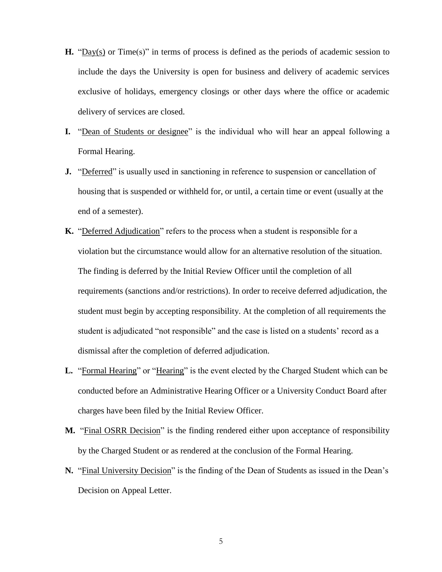- **H.** "Day(s) or Time(s)" in terms of process is defined as the periods of academic session to include the days the University is open for business and delivery of academic services exclusive of holidays, emergency closings or other days where the office or academic delivery of services are closed.
- **I.** "Dean of Students or designee" is the individual who will hear an appeal following a Formal Hearing.
- **J.** "Deferred" is usually used in sanctioning in reference to suspension or cancellation of housing that is suspended or withheld for, or until, a certain time or event (usually at the end of a semester).
- **K.** "Deferred Adjudication" refers to the process when a student is responsible for a violation but the circumstance would allow for an alternative resolution of the situation. The finding is deferred by the Initial Review Officer until the completion of all requirements (sanctions and/or restrictions). In order to receive deferred adjudication, the student must begin by accepting responsibility. At the completion of all requirements the student is adjudicated "not responsible" and the case is listed on a students' record as a dismissal after the completion of deferred adjudication.
- **L.** "Formal Hearing" or "Hearing" is the event elected by the Charged Student which can be conducted before an Administrative Hearing Officer or a University Conduct Board after charges have been filed by the Initial Review Officer.
- **M.** "Final OSRR Decision" is the finding rendered either upon acceptance of responsibility by the Charged Student or as rendered at the conclusion of the Formal Hearing.
- **N.** "Final University Decision" is the finding of the Dean of Students as issued in the Dean's Decision on Appeal Letter.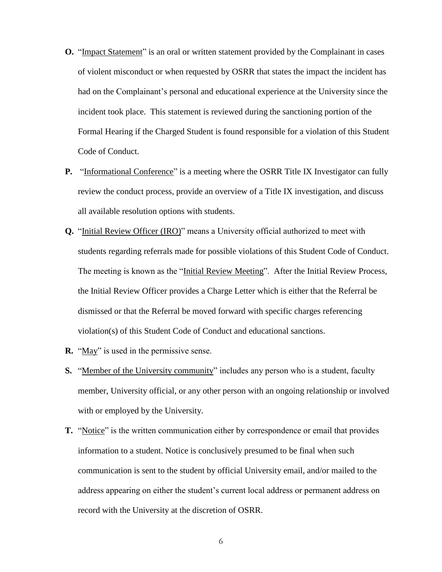- **O.** "Impact Statement" is an oral or written statement provided by the Complainant in cases of violent misconduct or when requested by OSRR that states the impact the incident has had on the Complainant's personal and educational experience at the University since the incident took place. This statement is reviewed during the sanctioning portion of the Formal Hearing if the Charged Student is found responsible for a violation of this Student Code of Conduct.
- **P.** "Informational Conference" is a meeting where the OSRR Title IX Investigator can fully review the conduct process, provide an overview of a Title IX investigation, and discuss all available resolution options with students.
- **Q.** "Initial Review Officer (IRO)" means a University official authorized to meet with students regarding referrals made for possible violations of this Student Code of Conduct. The meeting is known as the "Initial Review Meeting". After the Initial Review Process, the Initial Review Officer provides a Charge Letter which is either that the Referral be dismissed or that the Referral be moved forward with specific charges referencing violation(s) of this Student Code of Conduct and educational sanctions.
- **R.** "May" is used in the permissive sense.
- **S.** "Member of the University community" includes any person who is a student, faculty member, University official, or any other person with an ongoing relationship or involved with or employed by the University.
- **T.** "Notice" is the written communication either by correspondence or email that provides information to a student. Notice is conclusively presumed to be final when such communication is sent to the student by official University email, and/or mailed to the address appearing on either the student's current local address or permanent address on record with the University at the discretion of OSRR.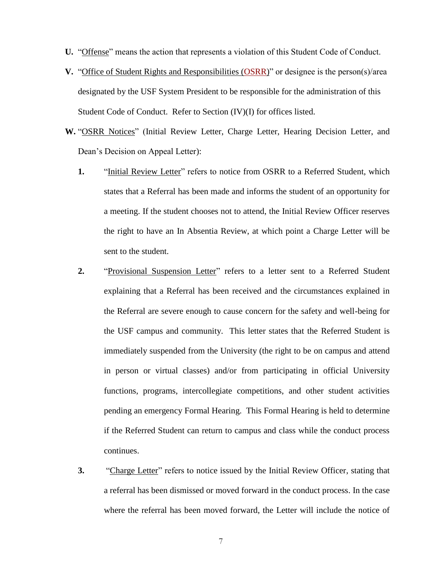- **U.** "Offense" means the action that represents a violation of this Student Code of Conduct.
- **V.** "Office of Student Rights and Responsibilities [\(OSRR\)](http://www.sa.usf.edu/srr/page.asp?id=69)" or designee is the person(s)/area designated by the USF System President to be responsible for the administration of this Student Code of Conduct. Refer to Section (IV)(I) for offices listed.
- **W.** "OSRR Notices" (Initial Review Letter, Charge Letter, Hearing Decision Letter, and Dean's Decision on Appeal Letter):
	- **1.** "Initial Review Letter" refers to notice from OSRR to a Referred Student, which states that a Referral has been made and informs the student of an opportunity for a meeting. If the student chooses not to attend, the Initial Review Officer reserves the right to have an In Absentia Review, at which point a Charge Letter will be sent to the student.
	- **2.** "Provisional Suspension Letter" refers to a letter sent to a Referred Student explaining that a Referral has been received and the circumstances explained in the Referral are severe enough to cause concern for the safety and well-being for the USF campus and community. This letter states that the Referred Student is immediately suspended from the University (the right to be on campus and attend in person or virtual classes) and/or from participating in official University functions, programs, intercollegiate competitions, and other student activities pending an emergency Formal Hearing. This Formal Hearing is held to determine if the Referred Student can return to campus and class while the conduct process continues.
	- **3.** "Charge Letter" refers to notice issued by the Initial Review Officer, stating that a referral has been dismissed or moved forward in the conduct process. In the case where the referral has been moved forward, the Letter will include the notice of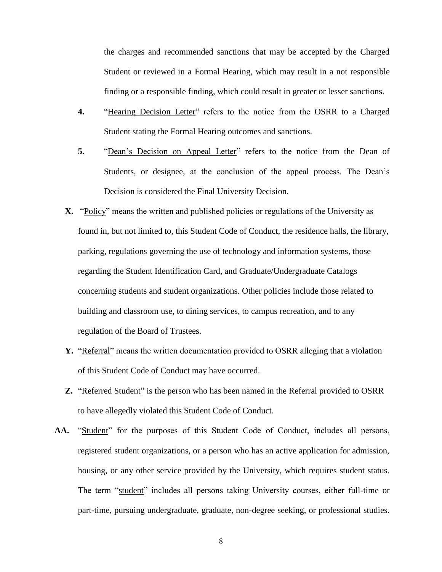the charges and recommended sanctions that may be accepted by the Charged Student or reviewed in a Formal Hearing, which may result in a not responsible finding or a responsible finding, which could result in greater or lesser sanctions.

- **4.** "Hearing Decision Letter" refers to the notice from the OSRR to a Charged Student stating the Formal Hearing outcomes and sanctions.
- **5.** "Dean's Decision on Appeal Letter" refers to the notice from the Dean of Students, or designee, at the conclusion of the appeal process. The Dean's Decision is considered the Final University Decision.
- **X.** "Policy" means the written and published policies or regulations of the University as found in, but not limited to, this Student Code of Conduct, the residence halls, the library, parking, regulations governing the use of technology and information systems, those regarding the Student Identification Card, and Graduate/Undergraduate Catalogs concerning students and student organizations. Other policies include those related to building and classroom use, to dining services, to campus recreation, and to any regulation of the Board of Trustees.
- **Y.** "Referral" means the written documentation provided to OSRR alleging that a violation of this Student Code of Conduct may have occurred.
- **Z.** "Referred Student" is the person who has been named in the Referral provided to OSRR to have allegedly violated this Student Code of Conduct.
- **AA.** "Student" for the purposes of this Student Code of Conduct, includes all persons, registered student organizations, or a person who has an active application for admission, housing, or any other service provided by the University, which requires student status. The term "student" includes all persons taking University courses, either full-time or part-time, pursuing undergraduate, graduate, non-degree seeking, or professional studies.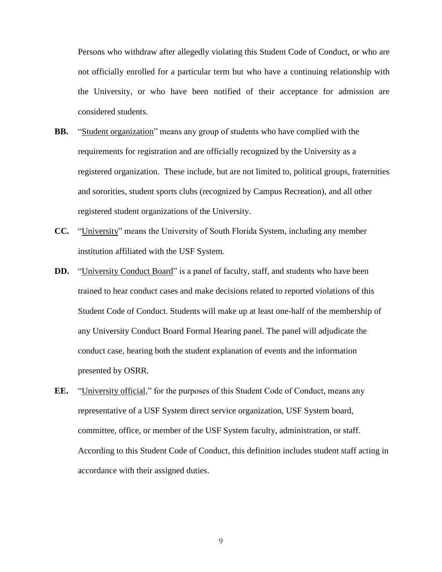Persons who withdraw after allegedly violating this Student Code of Conduct, or who are not officially enrolled for a particular term but who have a continuing relationship with the University, or who have been notified of their acceptance for admission are considered students.

- **BB.** "Student organization" means any group of students who have complied with the requirements for registration and are officially recognized by the University as a registered organization. These include, but are not limited to, political groups, fraternities and sororities, student sports clubs (recognized by Campus Recreation), and all other registered student organizations of the University.
- **CC.** "University" means the University of South Florida System, including any member institution affiliated with the USF System.
- **DD.** "University Conduct Board" is a panel of faculty, staff, and students who have been trained to hear conduct cases and make decisions related to reported violations of this Student Code of Conduct. Students will make up at least one-half of the membership of any University Conduct Board Formal Hearing panel. The panel will adjudicate the conduct case, hearing both the student explanation of events and the information presented by OSRR.
- **EE.** "University official," for the purposes of this Student Code of Conduct, means any representative of a USF System direct service organization, USF System board, committee, office, or member of the USF System faculty, administration, or staff. According to this Student Code of Conduct, this definition includes student staff acting in accordance with their assigned duties.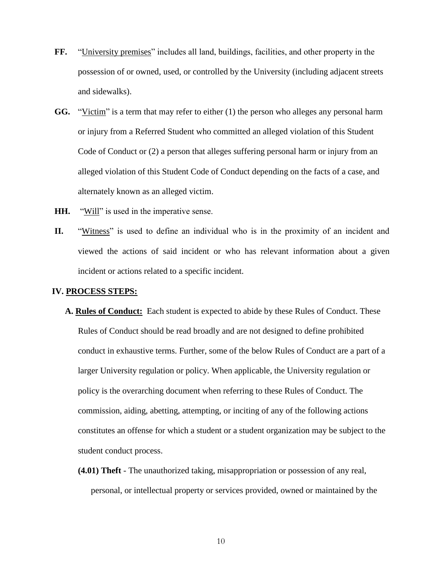- **FF.** "University premises" includes all land, buildings, facilities, and other property in the possession of or owned, used, or controlled by the University (including adjacent streets and sidewalks).
- **GG.** "Victim" is a term that may refer to either (1) the person who alleges any personal harm or injury from a Referred Student who committed an alleged violation of this Student Code of Conduct or (2) a person that alleges suffering personal harm or injury from an alleged violation of this Student Code of Conduct depending on the facts of a case, and alternately known as an alleged victim.
- **HH.** "Will" is used in the imperative sense.
- **II.** "Witness" is used to define an individual who is in the proximity of an incident and viewed the actions of said incident or who has relevant information about a given incident or actions related to a specific incident.

# **IV. PROCESS STEPS:**

- **A. Rules of Conduct:** Each student is expected to abide by these Rules of Conduct. These Rules of Conduct should be read broadly and are not designed to define prohibited conduct in exhaustive terms. Further, some of the below Rules of Conduct are a part of a larger University regulation or policy. When applicable, the University regulation or policy is the overarching document when referring to these Rules of Conduct. The commission, aiding, abetting, attempting, or inciting of any of the following actions constitutes an offense for which a student or a student organization may be subject to the student conduct process.
	- **(4.01) Theft**  The unauthorized taking, misappropriation or possession of any real, personal, or intellectual property or services provided, owned or maintained by the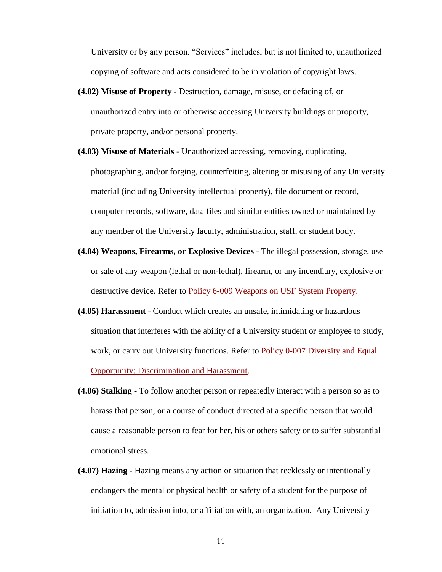University or by any person. "Services" includes, but is not limited to, unauthorized copying of software and acts considered to be in violation of copyright laws.

- **(4.02) Misuse of Property -** Destruction, damage, misuse, or defacing of, or unauthorized entry into or otherwise accessing University buildings or property, private property, and/or personal property.
- **(4.03) Misuse of Materials**  Unauthorized accessing, removing, duplicating, photographing, and/or forging, counterfeiting, altering or misusing of any University material (including University intellectual property), file document or record, computer records, software, data files and similar entities owned or maintained by any member of the University faculty, administration, staff, or student body.
- **(4.04) Weapons, Firearms, or Explosive Devices**  The illegal possession, storage, use or sale of any weapon (lethal or non-lethal), firearm, or any incendiary, explosive or destructive device. Refer to [Policy 6-009 Weapons on USF System Property.](http://regulationspolicies.usf.edu/policies-and-procedures/pdfs/policy-6-009.pdf)
- **(4.05) Harassment**  Conduct which creates an unsafe, intimidating or hazardous situation that interferes with the ability of a University student or employee to study, work, or carry out University functions. Refer to [Policy 0-007 Diversity and Equal](http://regulationspolicies.usf.edu/policies-and-procedures/pdfs/policy-0-007.pdf)  [Opportunity: Discrimination and Harassment.](http://regulationspolicies.usf.edu/policies-and-procedures/pdfs/policy-0-007.pdf)
- **(4.06) Stalking**  To follow another person or repeatedly interact with a person so as to harass that person, or a course of conduct directed at a specific person that would cause a reasonable person to fear for her, his or others safety or to suffer substantial emotional stress.
- **(4.07) Hazing**  Hazing means any action or situation that recklessly or intentionally endangers the mental or physical health or safety of a student for the purpose of initiation to, admission into, or affiliation with, an organization. Any University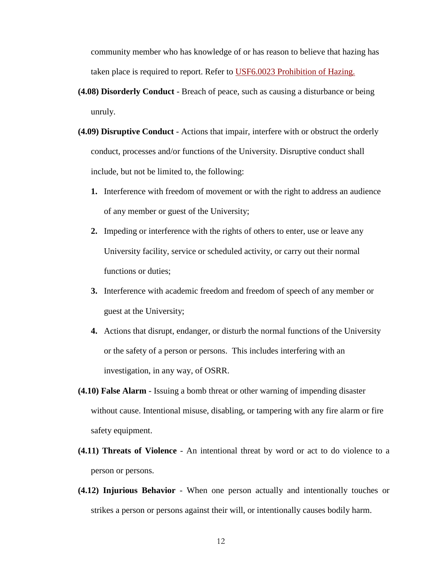community member who has knowledge of or has reason to believe that hazing has taken place is required to report. Refer to [USF6.0023 Prohibition of Hazing.](http://regulationspolicies.usf.edu/regulations/pdfs/regulation-usf6.0023.pdf)

- **(4.08) Disorderly Conduct**  Breach of peace, such as causing a disturbance or being unruly.
- **(4.09) Disruptive Conduct**  Actions that impair, interfere with or obstruct the orderly conduct, processes and/or functions of the University. Disruptive conduct shall include, but not be limited to, the following:
	- **1.** Interference with freedom of movement or with the right to address an audience of any member or guest of the University;
	- **2.** Impeding or interference with the rights of others to enter, use or leave any University facility, service or scheduled activity, or carry out their normal functions or duties;
	- **3.** Interference with academic freedom and freedom of speech of any member or guest at the University;
	- **4.** Actions that disrupt, endanger, or disturb the normal functions of the University or the safety of a person or persons. This includes interfering with an investigation, in any way, of OSRR.
- **(4.10) False Alarm**  Issuing a bomb threat or other warning of impending disaster without cause. Intentional misuse, disabling, or tampering with any fire alarm or fire safety equipment.
- **(4.11) Threats of Violence**  An intentional threat by word or act to do violence to a person or persons.
- **(4.12) Injurious Behavior**  When one person actually and intentionally touches or strikes a person or persons against their will, or intentionally causes bodily harm.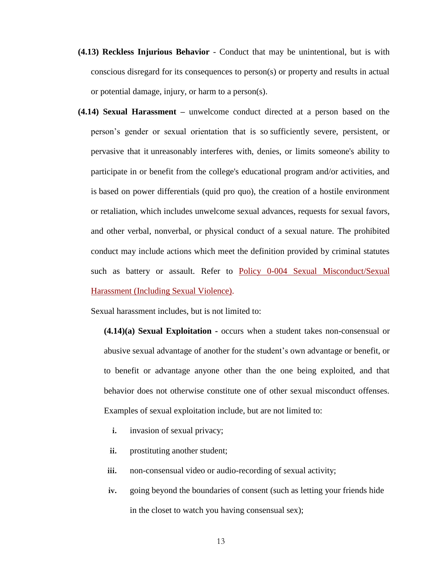- **(4.13) Reckless Injurious Behavior**  Conduct that may be unintentional, but is with conscious disregard for its consequences to person(s) or property and results in actual or potential damage, injury, or harm to a person(s).
- **(4.14) Sexual Harassment –** unwelcome conduct directed at a person based on the person's gender or sexual orientation that is so sufficiently severe, persistent, or pervasive that it unreasonably interferes with, denies, or limits someone's ability to participate in or benefit from the college's educational program and/or activities, and is based on power differentials (quid pro quo), the creation of a hostile environment or retaliation, which includes unwelcome sexual advances, requests for sexual favors, and other verbal, nonverbal, or physical conduct of a sexual nature. The prohibited conduct may include actions which meet the definition provided by criminal statutes such as battery or assault. Refer to [Policy 0-004 Sexual Misconduct/Sexual](http://regulationspolicies.usf.edu/policies-and-procedures/pdfs/policy-0-004.pdf)  [Harassment \(Including Sexual Violence\).](http://regulationspolicies.usf.edu/policies-and-procedures/pdfs/policy-0-004.pdf)

Sexual harassment includes, but is not limited to:

**(4.14)(a) Sexual Exploitation -** occurs when a student takes non-consensual or abusive sexual advantage of another for the student's own advantage or benefit, or to benefit or advantage anyone other than the one being exploited, and that behavior does not otherwise constitute one of other sexual misconduct offenses. Examples of sexual exploitation include, but are not limited to:

- **i.** invasion of sexual privacy;
- **ii.** prostituting another student;
- **iii.** non-consensual video or audio-recording of sexual activity;
- **iv.** going beyond the boundaries of consent (such as letting your friends hide in the closet to watch you having consensual sex);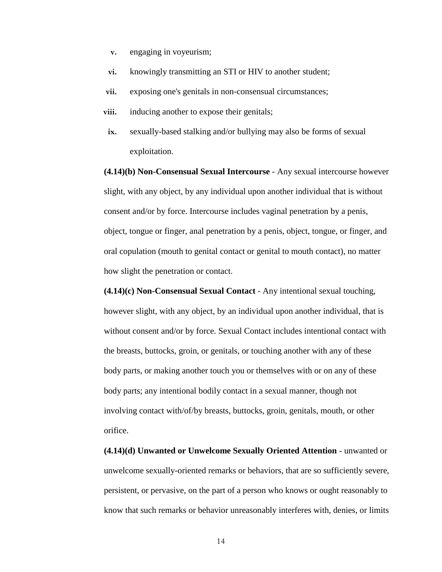- **v.** engaging in voyeurism;
- **vi.** knowingly transmitting an STI or HIV to another student;
- **vii.** exposing one's genitals in non-consensual circumstances;
- **viii.** inducing another to expose their genitals;
- **ix.** sexually-based stalking and/or bullying may also be forms of sexual exploitation.

**(4.14)(b) Non-Consensual Sexual Intercourse** - Any sexual intercourse however slight, with any object, by any individual upon another individual that is without consent and/or by force. Intercourse includes vaginal penetration by a penis, object, tongue or finger, anal penetration by a penis, object, tongue, or finger, and oral copulation (mouth to genital contact or genital to mouth contact), no matter how slight the penetration or contact.

**(4.14)(c) Non-Consensual Sexual Contact** - Any intentional sexual touching, however slight, with any object, by an individual upon another individual, that is without consent and/or by force. Sexual Contact includes intentional contact with the breasts, buttocks, groin, or genitals, or touching another with any of these body parts, or making another touch you or themselves with or on any of these body parts; any intentional bodily contact in a sexual manner, though not involving contact with/of/by breasts, buttocks, groin, genitals, mouth, or other orifice.

**(4.14)(d) Unwanted or Unwelcome Sexually Oriented Attention** - unwanted or unwelcome sexually-oriented remarks or behaviors, that are so sufficiently severe, persistent, or pervasive, on the part of a person who knows or ought reasonably to know that such remarks or behavior unreasonably interferes with, denies, or limits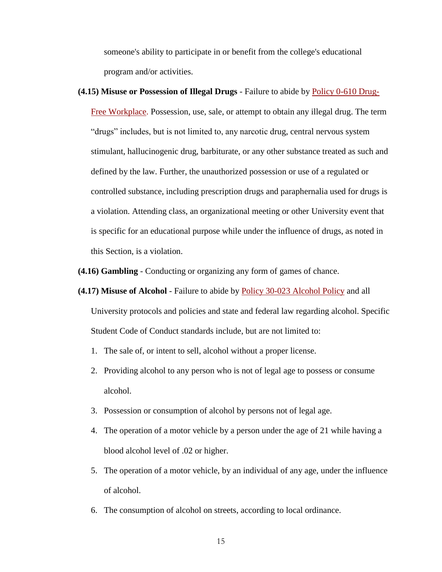someone's ability to participate in or benefit from the college's educational program and/or activities.

**(4.15) Misuse or Possession of Illegal Drugs** - Failure to abide by [Policy 0-610 Drug-](http://regulationspolicies.usf.edu/policies-and-procedures/pdfs/policy-0-610.pdf)[Free Workplace.](http://regulationspolicies.usf.edu/policies-and-procedures/pdfs/policy-0-610.pdf) Possession, use, sale, or attempt to obtain any illegal drug. The term "drugs" includes, but is not limited to, any narcotic drug, central nervous system stimulant, hallucinogenic drug, barbiturate, or any other substance treated as such and defined by the law. Further, the unauthorized possession or use of a regulated or controlled substance, including prescription drugs and paraphernalia used for drugs is a violation. Attending class, an organizational meeting or other University event that is specific for an educational purpose while under the influence of drugs, as noted in this Section, is a violation.

**(4.16) Gambling** - Conducting or organizing any form of games of chance.

- **(4.17) Misuse of Alcohol**  Failure to abide by [Policy 30-023 Alcohol Policy](http://regulationspolicies.usf.edu/policies-and-procedures/pdfs/policy-30-023.pdf) and all University protocols and policies and state and federal law regarding alcohol. Specific Student Code of Conduct standards include, but are not limited to:
	- 1. The sale of, or intent to sell, alcohol without a proper license.
	- 2. Providing alcohol to any person who is not of legal age to possess or consume alcohol.
	- 3. Possession or consumption of alcohol by persons not of legal age.
	- 4. The operation of a motor vehicle by a person under the age of 21 while having a blood alcohol level of .02 or higher.
	- 5. The operation of a motor vehicle, by an individual of any age, under the influence of alcohol.
	- 6. The consumption of alcohol on streets, according to local ordinance.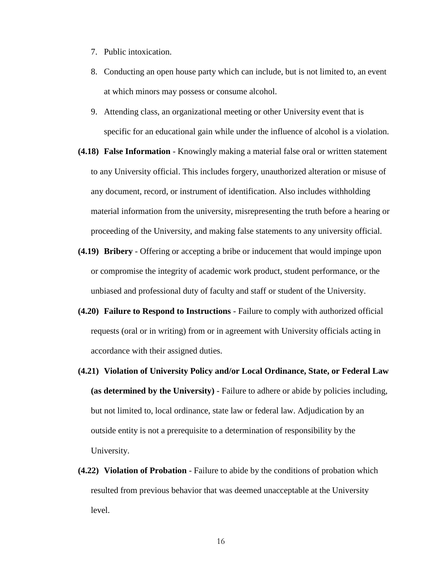- 7. Public intoxication.
- 8. Conducting an open house party which can include, but is not limited to, an event at which minors may possess or consume alcohol.
- 9. Attending class, an organizational meeting or other University event that is specific for an educational gain while under the influence of alcohol is a violation.
- **(4.18) False Information**  Knowingly making a material false oral or written statement to any University official. This includes forgery, unauthorized alteration or misuse of any document, record, or instrument of identification. Also includes withholding material information from the university, misrepresenting the truth before a hearing or proceeding of the University, and making false statements to any university official.
- **(4.19) Bribery**  Offering or accepting a bribe or inducement that would impinge upon or compromise the integrity of academic work product, student performance, or the unbiased and professional duty of faculty and staff or student of the University.
- **(4.20) Failure to Respond to Instructions**  Failure to comply with authorized official requests (oral or in writing) from or in agreement with University officials acting in accordance with their assigned duties.
- **(4.21) Violation of University Policy and/or Local Ordinance, State, or Federal Law (as determined by the University)** - Failure to adhere or abide by policies including, but not limited to, local ordinance, state law or federal law. Adjudication by an outside entity is not a prerequisite to a determination of responsibility by the University.
- **(4.22) Violation of Probation**  Failure to abide by the conditions of probation which resulted from previous behavior that was deemed unacceptable at the University level.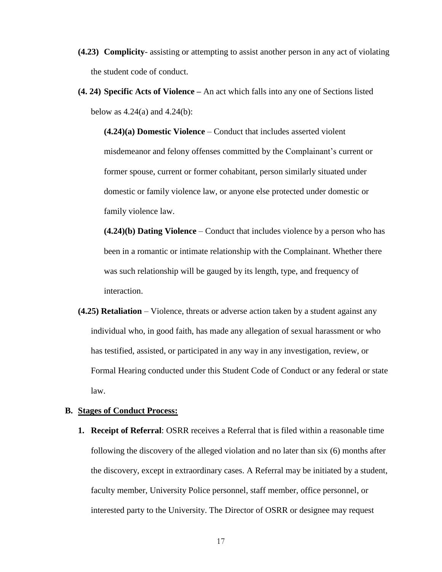- **(4.23) Complicity** assisting or attempting to assist another person in any act of violating the student code of conduct.
- **(4. 24) Specific Acts of Violence –** An act which falls into any one of Sections listed below as  $4.24(a)$  and  $4.24(b)$ :

**(4.24)(a) Domestic Violence** – Conduct that includes asserted violent misdemeanor and felony offenses committed by the Complainant's current or former spouse, current or former cohabitant, person similarly situated under domestic or family violence law, or anyone else protected under domestic or family violence law.

**(4.24)(b) Dating Violence** – Conduct that includes violence by a person who has been in a romantic or intimate relationship with the Complainant. Whether there was such relationship will be gauged by its length, type, and frequency of interaction.

**(4.25) Retaliation** – Violence, threats or adverse action taken by a student against any individual who, in good faith, has made any allegation of sexual harassment or who has testified, assisted, or participated in any way in any investigation, review, or Formal Hearing conducted under this Student Code of Conduct or any federal or state law.

# **B. Stages of Conduct Process:**

**1. Receipt of Referral**: OSRR receives a Referral that is filed within a reasonable time following the discovery of the alleged violation and no later than six (6) months after the discovery, except in extraordinary cases. A Referral may be initiated by a student, faculty member, University Police personnel, staff member, office personnel, or interested party to the University. The Director of OSRR or designee may request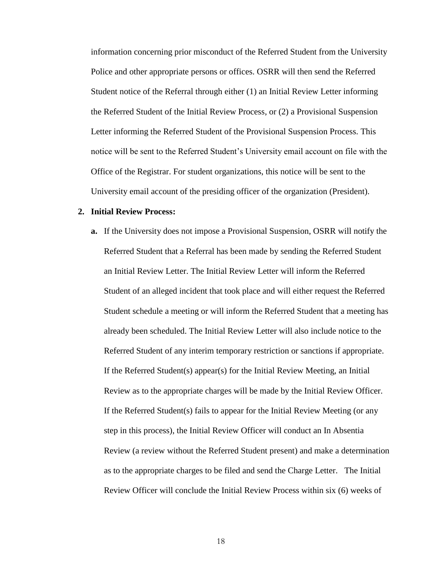information concerning prior misconduct of the Referred Student from the University Police and other appropriate persons or offices. OSRR will then send the Referred Student notice of the Referral through either (1) an Initial Review Letter informing the Referred Student of the Initial Review Process, or (2) a Provisional Suspension Letter informing the Referred Student of the Provisional Suspension Process. This notice will be sent to the Referred Student's University email account on file with the Office of the Registrar. For student organizations, this notice will be sent to the University email account of the presiding officer of the organization (President).

#### **2. Initial Review Process:**

**a.** If the University does not impose a Provisional Suspension, OSRR will notify the Referred Student that a Referral has been made by sending the Referred Student an Initial Review Letter. The Initial Review Letter will inform the Referred Student of an alleged incident that took place and will either request the Referred Student schedule a meeting or will inform the Referred Student that a meeting has already been scheduled. The Initial Review Letter will also include notice to the Referred Student of any interim temporary restriction or sanctions if appropriate. If the Referred Student(s) appear(s) for the Initial Review Meeting, an Initial Review as to the appropriate charges will be made by the Initial Review Officer. If the Referred Student(s) fails to appear for the Initial Review Meeting (or any step in this process), the Initial Review Officer will conduct an In Absentia Review (a review without the Referred Student present) and make a determination as to the appropriate charges to be filed and send the Charge Letter. The Initial Review Officer will conclude the Initial Review Process within six (6) weeks of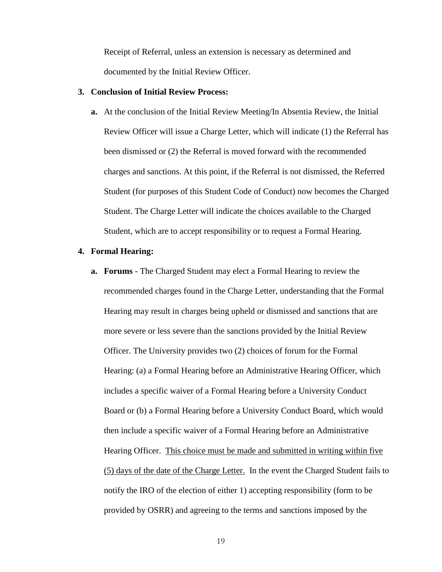Receipt of Referral, unless an extension is necessary as determined and documented by the Initial Review Officer.

#### **3. Conclusion of Initial Review Process:**

**a.** At the conclusion of the Initial Review Meeting/In Absentia Review, the Initial Review Officer will issue a Charge Letter, which will indicate (1) the Referral has been dismissed or (2) the Referral is moved forward with the recommended charges and sanctions. At this point, if the Referral is not dismissed, the Referred Student (for purposes of this Student Code of Conduct) now becomes the Charged Student. The Charge Letter will indicate the choices available to the Charged Student, which are to accept responsibility or to request a Formal Hearing.

### **4. Formal Hearing:**

**a. Forums** - The Charged Student may elect a Formal Hearing to review the recommended charges found in the Charge Letter, understanding that the Formal Hearing may result in charges being upheld or dismissed and sanctions that are more severe or less severe than the sanctions provided by the Initial Review Officer. The University provides two (2) choices of forum for the Formal Hearing: (a) a Formal Hearing before an Administrative Hearing Officer, which includes a specific waiver of a Formal Hearing before a University Conduct Board or (b) a Formal Hearing before a University Conduct Board, which would then include a specific waiver of a Formal Hearing before an Administrative Hearing Officer. This choice must be made and submitted in writing within five (5) days of the date of the Charge Letter. In the event the Charged Student fails to notify the IRO of the election of either 1) accepting responsibility (form to be provided by OSRR) and agreeing to the terms and sanctions imposed by the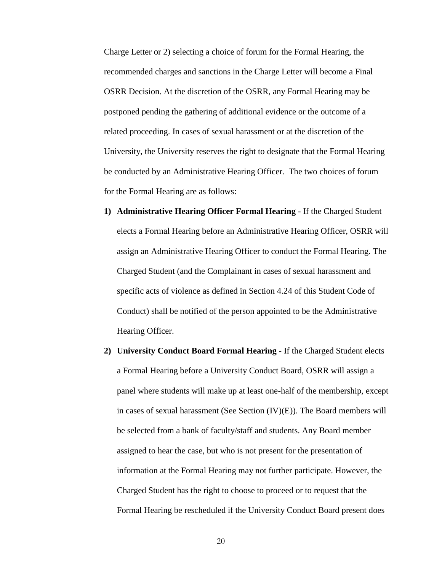Charge Letter or 2) selecting a choice of forum for the Formal Hearing, the recommended charges and sanctions in the Charge Letter will become a Final OSRR Decision. At the discretion of the OSRR, any Formal Hearing may be postponed pending the gathering of additional evidence or the outcome of a related proceeding. In cases of sexual harassment or at the discretion of the University, the University reserves the right to designate that the Formal Hearing be conducted by an Administrative Hearing Officer. The two choices of forum for the Formal Hearing are as follows:

- **1) Administrative Hearing Officer Formal Hearing** If the Charged Student elects a Formal Hearing before an Administrative Hearing Officer, OSRR will assign an Administrative Hearing Officer to conduct the Formal Hearing. The Charged Student (and the Complainant in cases of sexual harassment and specific acts of violence as defined in Section 4.24 of this Student Code of Conduct) shall be notified of the person appointed to be the Administrative Hearing Officer.
- **2) University Conduct Board Formal Hearing** If the Charged Student elects a Formal Hearing before a University Conduct Board, OSRR will assign a panel where students will make up at least one-half of the membership, except in cases of sexual harassment (See Section (IV)(E)). The Board members will be selected from a bank of faculty/staff and students. Any Board member assigned to hear the case, but who is not present for the presentation of information at the Formal Hearing may not further participate. However, the Charged Student has the right to choose to proceed or to request that the Formal Hearing be rescheduled if the University Conduct Board present does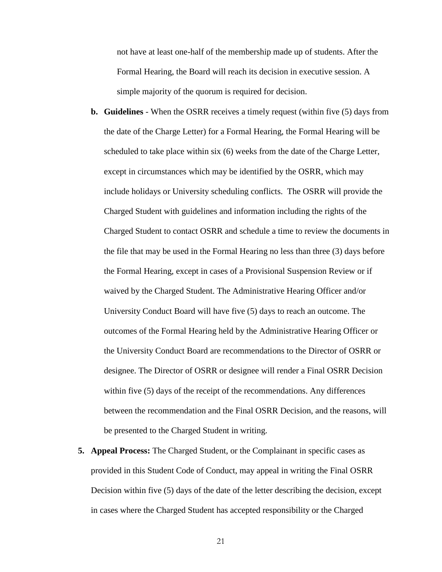not have at least one-half of the membership made up of students. After the Formal Hearing, the Board will reach its decision in executive session. A simple majority of the quorum is required for decision.

- **b. Guidelines** When the OSRR receives a timely request (within five (5) days from the date of the Charge Letter) for a Formal Hearing, the Formal Hearing will be scheduled to take place within six (6) weeks from the date of the Charge Letter, except in circumstances which may be identified by the OSRR, which may include holidays or University scheduling conflicts. The OSRR will provide the Charged Student with guidelines and information including the rights of the Charged Student to contact OSRR and schedule a time to review the documents in the file that may be used in the Formal Hearing no less than three (3) days before the Formal Hearing, except in cases of a Provisional Suspension Review or if waived by the Charged Student. The Administrative Hearing Officer and/or University Conduct Board will have five (5) days to reach an outcome. The outcomes of the Formal Hearing held by the Administrative Hearing Officer or the University Conduct Board are recommendations to the Director of OSRR or designee. The Director of OSRR or designee will render a Final OSRR Decision within five (5) days of the receipt of the recommendations. Any differences between the recommendation and the Final OSRR Decision, and the reasons, will be presented to the Charged Student in writing.
- **5. Appeal Process:** The Charged Student, or the Complainant in specific cases as provided in this Student Code of Conduct, may appeal in writing the Final OSRR Decision within five (5) days of the date of the letter describing the decision, except in cases where the Charged Student has accepted responsibility or the Charged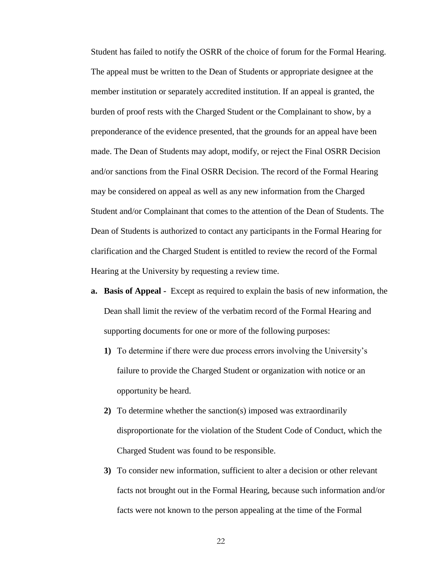Student has failed to notify the OSRR of the choice of forum for the Formal Hearing. The appeal must be written to the Dean of Students or appropriate designee at the member institution or separately accredited institution. If an appeal is granted, the burden of proof rests with the Charged Student or the Complainant to show, by a preponderance of the evidence presented, that the grounds for an appeal have been made. The Dean of Students may adopt, modify, or reject the Final OSRR Decision and/or sanctions from the Final OSRR Decision. The record of the Formal Hearing may be considered on appeal as well as any new information from the Charged Student and/or Complainant that comes to the attention of the Dean of Students. The Dean of Students is authorized to contact any participants in the Formal Hearing for clarification and the Charged Student is entitled to review the record of the Formal Hearing at the University by requesting a review time.

- **a. Basis of Appeal** Except as required to explain the basis of new information, the Dean shall limit the review of the verbatim record of the Formal Hearing and supporting documents for one or more of the following purposes:
	- **1)** To determine if there were due process errors involving the University's failure to provide the Charged Student or organization with notice or an opportunity be heard.
	- **2)** To determine whether the sanction(s) imposed was extraordinarily disproportionate for the violation of the Student Code of Conduct, which the Charged Student was found to be responsible.
	- **3)** To consider new information, sufficient to alter a decision or other relevant facts not brought out in the Formal Hearing, because such information and/or facts were not known to the person appealing at the time of the Formal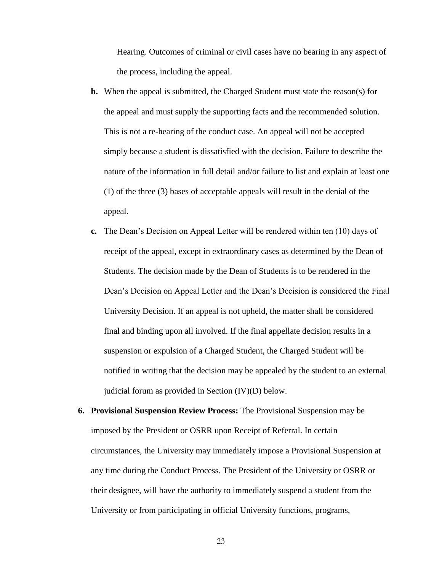Hearing. Outcomes of criminal or civil cases have no bearing in any aspect of the process, including the appeal.

- **b.** When the appeal is submitted, the Charged Student must state the reason(s) for the appeal and must supply the supporting facts and the recommended solution. This is not a re-hearing of the conduct case. An appeal will not be accepted simply because a student is dissatisfied with the decision. Failure to describe the nature of the information in full detail and/or failure to list and explain at least one (1) of the three (3) bases of acceptable appeals will result in the denial of the appeal.
- **c.** The Dean's Decision on Appeal Letter will be rendered within ten (10) days of receipt of the appeal, except in extraordinary cases as determined by the Dean of Students. The decision made by the Dean of Students is to be rendered in the Dean's Decision on Appeal Letter and the Dean's Decision is considered the Final University Decision. If an appeal is not upheld, the matter shall be considered final and binding upon all involved. If the final appellate decision results in a suspension or expulsion of a Charged Student, the Charged Student will be notified in writing that the decision may be appealed by the student to an external judicial forum as provided in Section (IV)(D) below.
- **6. Provisional Suspension Review Process:** The Provisional Suspension may be imposed by the President or OSRR upon Receipt of Referral. In certain circumstances, the University may immediately impose a Provisional Suspension at any time during the Conduct Process. The President of the University or OSRR or their designee, will have the authority to immediately suspend a student from the University or from participating in official University functions, programs,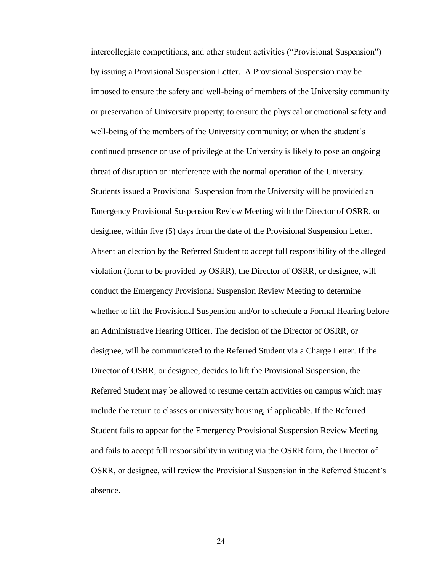intercollegiate competitions, and other student activities ("Provisional Suspension") by issuing a Provisional Suspension Letter. A Provisional Suspension may be imposed to ensure the safety and well-being of members of the University community or preservation of University property; to ensure the physical or emotional safety and well-being of the members of the University community; or when the student's continued presence or use of privilege at the University is likely to pose an ongoing threat of disruption or interference with the normal operation of the University. Students issued a Provisional Suspension from the University will be provided an Emergency Provisional Suspension Review Meeting with the Director of OSRR, or designee, within five (5) days from the date of the Provisional Suspension Letter. Absent an election by the Referred Student to accept full responsibility of the alleged violation (form to be provided by OSRR), the Director of OSRR, or designee, will conduct the Emergency Provisional Suspension Review Meeting to determine whether to lift the Provisional Suspension and/or to schedule a Formal Hearing before an Administrative Hearing Officer. The decision of the Director of OSRR, or designee, will be communicated to the Referred Student via a Charge Letter. If the Director of OSRR, or designee, decides to lift the Provisional Suspension, the Referred Student may be allowed to resume certain activities on campus which may include the return to classes or university housing, if applicable. If the Referred Student fails to appear for the Emergency Provisional Suspension Review Meeting and fails to accept full responsibility in writing via the OSRR form, the Director of OSRR, or designee, will review the Provisional Suspension in the Referred Student's absence.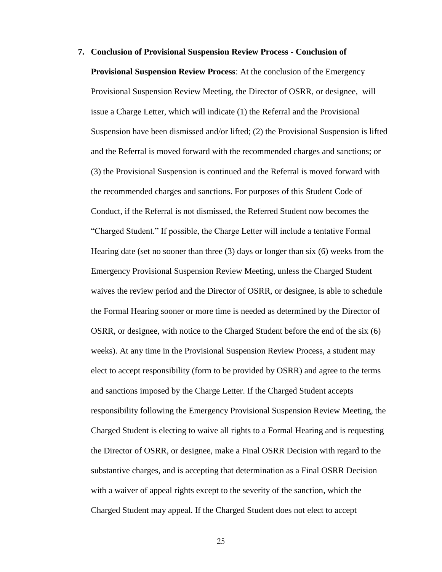#### **7. Conclusion of Provisional Suspension Review Process** - **Conclusion of**

**Provisional Suspension Review Process**: At the conclusion of the Emergency Provisional Suspension Review Meeting, the Director of OSRR, or designee, will issue a Charge Letter, which will indicate (1) the Referral and the Provisional Suspension have been dismissed and/or lifted; (2) the Provisional Suspension is lifted and the Referral is moved forward with the recommended charges and sanctions; or (3) the Provisional Suspension is continued and the Referral is moved forward with the recommended charges and sanctions. For purposes of this Student Code of Conduct, if the Referral is not dismissed, the Referred Student now becomes the "Charged Student." If possible, the Charge Letter will include a tentative Formal Hearing date (set no sooner than three (3) days or longer than six (6) weeks from the Emergency Provisional Suspension Review Meeting, unless the Charged Student waives the review period and the Director of OSRR, or designee, is able to schedule the Formal Hearing sooner or more time is needed as determined by the Director of OSRR, or designee, with notice to the Charged Student before the end of the six (6) weeks). At any time in the Provisional Suspension Review Process, a student may elect to accept responsibility (form to be provided by OSRR) and agree to the terms and sanctions imposed by the Charge Letter. If the Charged Student accepts responsibility following the Emergency Provisional Suspension Review Meeting, the Charged Student is electing to waive all rights to a Formal Hearing and is requesting the Director of OSRR, or designee, make a Final OSRR Decision with regard to the substantive charges, and is accepting that determination as a Final OSRR Decision with a waiver of appeal rights except to the severity of the sanction, which the Charged Student may appeal. If the Charged Student does not elect to accept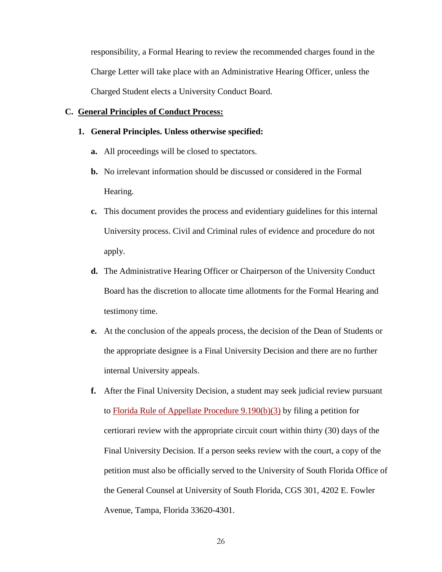responsibility, a Formal Hearing to review the recommended charges found in the Charge Letter will take place with an Administrative Hearing Officer, unless the Charged Student elects a University Conduct Board.

# **C. General Principles of Conduct Process:**

- **1. General Principles. Unless otherwise specified:** 
	- **a.** All proceedings will be closed to spectators.
	- **b.** No irrelevant information should be discussed or considered in the Formal Hearing.
	- **c.** This document provides the process and evidentiary guidelines for this internal University process. Civil and Criminal rules of evidence and procedure do not apply.
	- **d.** The Administrative Hearing Officer or Chairperson of the University Conduct Board has the discretion to allocate time allotments for the Formal Hearing and testimony time.
	- **e.** At the conclusion of the appeals process, the decision of the Dean of Students or the appropriate designee is a Final University Decision and there are no further internal University appeals.
	- **f.** After the Final University Decision, a student may seek judicial review pursuant to [Florida Rule of Appellate Procedure 9.190\(b\)\(3\)](http://www.floridabar.org/TFB/TFBResources.nsf/Attachments/830A6BC6B90DA05685256B29004BFAC0/$FILE/Appellate.pdf?) by filing a petition for certiorari review with the appropriate circuit court within thirty (30) days of the Final University Decision. If a person seeks review with the court, a copy of the petition must also be officially served to the University of South Florida Office of the General Counsel at University of South Florida, CGS 301, 4202 E. Fowler Avenue, Tampa, Florida 33620-4301.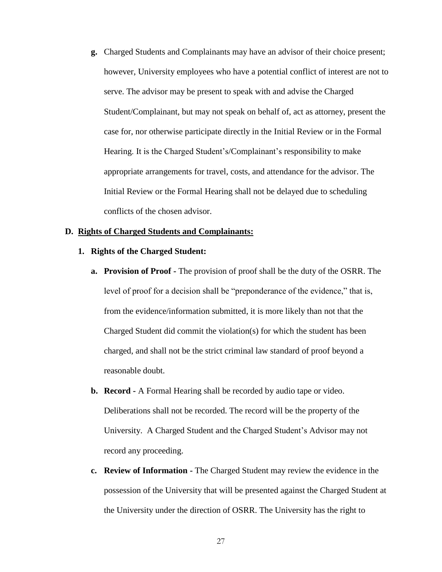**g.** Charged Students and Complainants may have an advisor of their choice present; however, University employees who have a potential conflict of interest are not to serve. The advisor may be present to speak with and advise the Charged Student/Complainant, but may not speak on behalf of, act as attorney, present the case for, nor otherwise participate directly in the Initial Review or in the Formal Hearing. It is the Charged Student's/Complainant's responsibility to make appropriate arrangements for travel, costs, and attendance for the advisor. The Initial Review or the Formal Hearing shall not be delayed due to scheduling conflicts of the chosen advisor.

### **D. Rights of Charged Students and Complainants:**

- **1. Rights of the Charged Student:**
	- **a. Provision of Proof -** The provision of proof shall be the duty of the OSRR. The level of proof for a decision shall be "preponderance of the evidence," that is, from the evidence/information submitted, it is more likely than not that the Charged Student did commit the violation(s) for which the student has been charged, and shall not be the strict criminal law standard of proof beyond a reasonable doubt.
	- **b. Record -** A Formal Hearing shall be recorded by audio tape or video. Deliberations shall not be recorded. The record will be the property of the University. A Charged Student and the Charged Student's Advisor may not record any proceeding.
	- **c. Review of Information -** The Charged Student may review the evidence in the possession of the University that will be presented against the Charged Student at the University under the direction of OSRR. The University has the right to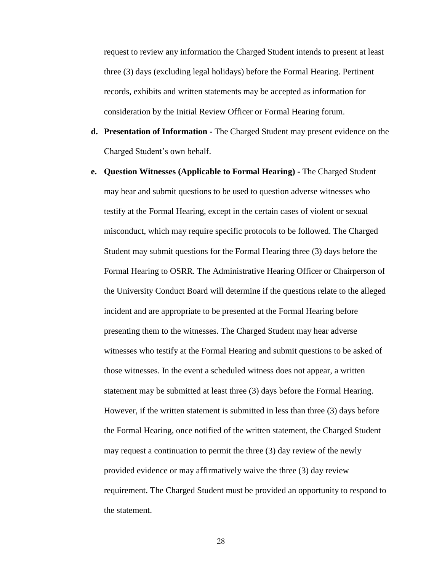request to review any information the Charged Student intends to present at least three (3) days (excluding legal holidays) before the Formal Hearing. Pertinent records, exhibits and written statements may be accepted as information for consideration by the Initial Review Officer or Formal Hearing forum.

- **d. Presentation of Information -** The Charged Student may present evidence on the Charged Student's own behalf.
- **e. Question Witnesses (Applicable to Formal Hearing) -** The Charged Student may hear and submit questions to be used to question adverse witnesses who testify at the Formal Hearing, except in the certain cases of violent or sexual misconduct, which may require specific protocols to be followed. The Charged Student may submit questions for the Formal Hearing three (3) days before the Formal Hearing to OSRR. The Administrative Hearing Officer or Chairperson of the University Conduct Board will determine if the questions relate to the alleged incident and are appropriate to be presented at the Formal Hearing before presenting them to the witnesses. The Charged Student may hear adverse witnesses who testify at the Formal Hearing and submit questions to be asked of those witnesses. In the event a scheduled witness does not appear, a written statement may be submitted at least three (3) days before the Formal Hearing. However, if the written statement is submitted in less than three (3) days before the Formal Hearing, once notified of the written statement, the Charged Student may request a continuation to permit the three (3) day review of the newly provided evidence or may affirmatively waive the three (3) day review requirement. The Charged Student must be provided an opportunity to respond to the statement.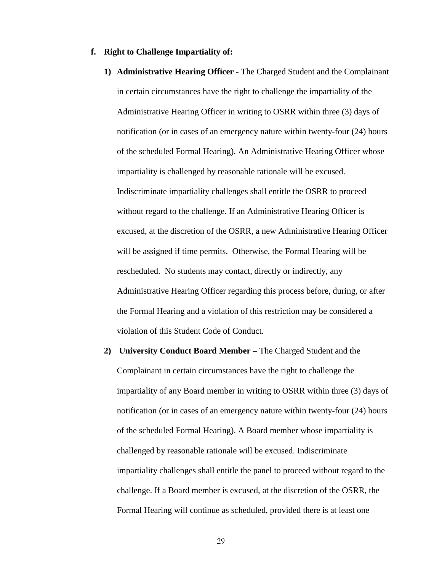#### **f. Right to Challenge Impartiality of:**

- **1) Administrative Hearing Officer -** The Charged Student and the Complainant in certain circumstances have the right to challenge the impartiality of the Administrative Hearing Officer in writing to OSRR within three (3) days of notification (or in cases of an emergency nature within twenty-four (24) hours of the scheduled Formal Hearing). An Administrative Hearing Officer whose impartiality is challenged by reasonable rationale will be excused. Indiscriminate impartiality challenges shall entitle the OSRR to proceed without regard to the challenge. If an Administrative Hearing Officer is excused, at the discretion of the OSRR, a new Administrative Hearing Officer will be assigned if time permits. Otherwise, the Formal Hearing will be rescheduled. No students may contact, directly or indirectly, any Administrative Hearing Officer regarding this process before, during, or after the Formal Hearing and a violation of this restriction may be considered a violation of this Student Code of Conduct.
- **2) University Conduct Board Member –** The Charged Student and the Complainant in certain circumstances have the right to challenge the impartiality of any Board member in writing to OSRR within three (3) days of notification (or in cases of an emergency nature within twenty-four (24) hours of the scheduled Formal Hearing). A Board member whose impartiality is challenged by reasonable rationale will be excused. Indiscriminate impartiality challenges shall entitle the panel to proceed without regard to the challenge. If a Board member is excused, at the discretion of the OSRR, the Formal Hearing will continue as scheduled, provided there is at least one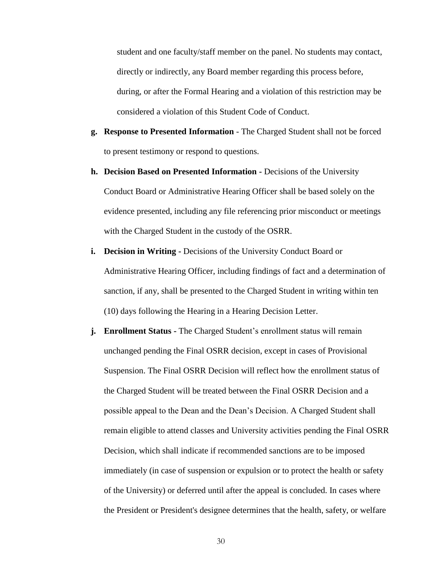student and one faculty/staff member on the panel. No students may contact, directly or indirectly, any Board member regarding this process before, during, or after the Formal Hearing and a violation of this restriction may be considered a violation of this Student Code of Conduct.

- **g. Response to Presented Information** The Charged Student shall not be forced to present testimony or respond to questions.
- **h. Decision Based on Presented Information -** Decisions of the University Conduct Board or Administrative Hearing Officer shall be based solely on the evidence presented, including any file referencing prior misconduct or meetings with the Charged Student in the custody of the OSRR.
- **i. Decision in Writing -** Decisions of the University Conduct Board or Administrative Hearing Officer, including findings of fact and a determination of sanction, if any, shall be presented to the Charged Student in writing within ten (10) days following the Hearing in a Hearing Decision Letter.
- **j. Enrollment Status -** The Charged Student's enrollment status will remain unchanged pending the Final OSRR decision, except in cases of Provisional Suspension. The Final OSRR Decision will reflect how the enrollment status of the Charged Student will be treated between the Final OSRR Decision and a possible appeal to the Dean and the Dean's Decision. A Charged Student shall remain eligible to attend classes and University activities pending the Final OSRR Decision, which shall indicate if recommended sanctions are to be imposed immediately (in case of suspension or expulsion or to protect the health or safety of the University) or deferred until after the appeal is concluded. In cases where the President or President's designee determines that the health, safety, or welfare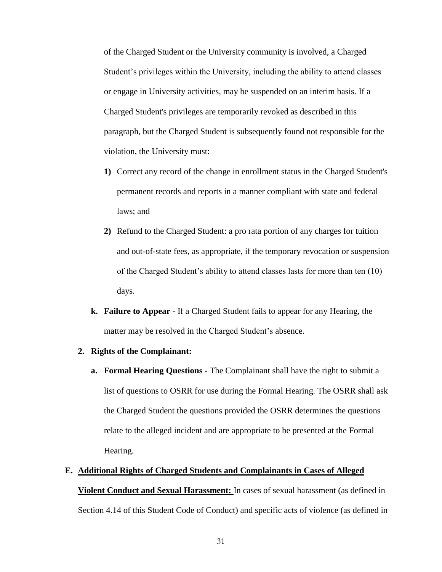of the Charged Student or the University community is involved, a Charged Student's privileges within the University, including the ability to attend classes or engage in University activities, may be suspended on an interim basis. If a Charged Student's privileges are temporarily revoked as described in this paragraph, but the Charged Student is subsequently found not responsible for the violation, the University must:

- **1)** Correct any record of the change in enrollment status in the Charged Student's permanent records and reports in a manner compliant with state and federal laws; and
- **2)** Refund to the Charged Student: a pro rata portion of any charges for tuition and out-of-state fees, as appropriate, if the temporary revocation or suspension of the Charged Student's ability to attend classes lasts for more than ten (10) days.
- **k. Failure to Appear -** If a Charged Student fails to appear for any Hearing, the matter may be resolved in the Charged Student's absence.

# **2. Rights of the Complainant:**

**a. Formal Hearing Questions -** The Complainant shall have the right to submit a list of questions to OSRR for use during the Formal Hearing. The OSRR shall ask the Charged Student the questions provided the OSRR determines the questions relate to the alleged incident and are appropriate to be presented at the Formal Hearing.

## **E. Additional Rights of Charged Students and Complainants in Cases of Alleged**

**Violent Conduct and Sexual Harassment:** In cases of sexual harassment (as defined in Section 4.14 of this Student Code of Conduct) and specific acts of violence (as defined in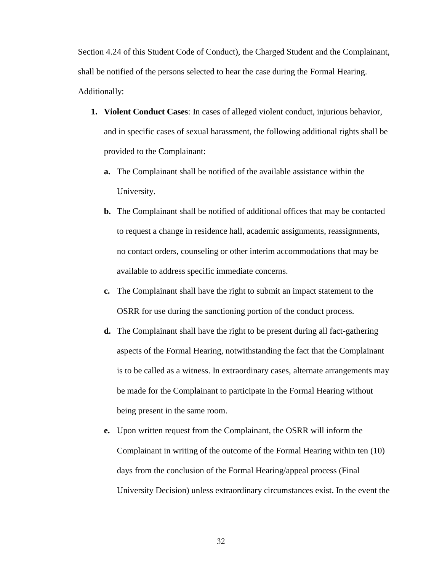Section 4.24 of this Student Code of Conduct), the Charged Student and the Complainant, shall be notified of the persons selected to hear the case during the Formal Hearing. Additionally:

- **1. Violent Conduct Cases**: In cases of alleged violent conduct, injurious behavior, and in specific cases of sexual harassment, the following additional rights shall be provided to the Complainant:
	- **a.** The Complainant shall be notified of the available assistance within the University.
	- **b.** The Complainant shall be notified of additional offices that may be contacted to request a change in residence hall, academic assignments, reassignments, no contact orders, counseling or other interim accommodations that may be available to address specific immediate concerns.
	- **c.** The Complainant shall have the right to submit an impact statement to the OSRR for use during the sanctioning portion of the conduct process.
	- **d.** The Complainant shall have the right to be present during all fact-gathering aspects of the Formal Hearing, notwithstanding the fact that the Complainant is to be called as a witness. In extraordinary cases, alternate arrangements may be made for the Complainant to participate in the Formal Hearing without being present in the same room.
	- **e.** Upon written request from the Complainant, the OSRR will inform the Complainant in writing of the outcome of the Formal Hearing within ten (10) days from the conclusion of the Formal Hearing/appeal process (Final University Decision) unless extraordinary circumstances exist. In the event the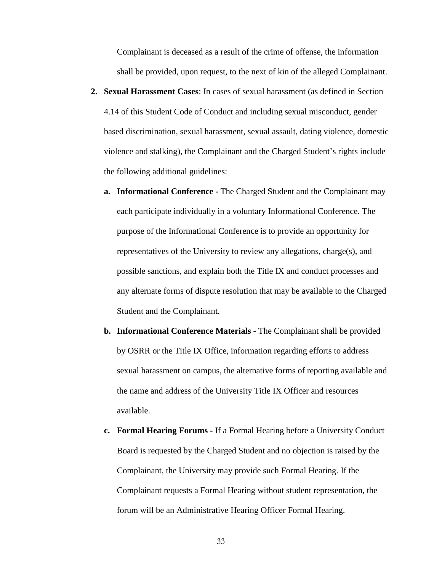Complainant is deceased as a result of the crime of offense, the information shall be provided, upon request, to the next of kin of the alleged Complainant.

- **2. Sexual Harassment Cases**: In cases of sexual harassment (as defined in Section 4.14 of this Student Code of Conduct and including sexual misconduct, gender based discrimination, sexual harassment, sexual assault, dating violence, domestic violence and stalking), the Complainant and the Charged Student's rights include the following additional guidelines:
	- **a. Informational Conference -** The Charged Student and the Complainant may each participate individually in a voluntary Informational Conference. The purpose of the Informational Conference is to provide an opportunity for representatives of the University to review any allegations, charge(s), and possible sanctions, and explain both the Title IX and conduct processes and any alternate forms of dispute resolution that may be available to the Charged Student and the Complainant.
	- **b. Informational Conference Materials -** The Complainant shall be provided by OSRR or the Title IX Office, information regarding efforts to address sexual harassment on campus, the alternative forms of reporting available and the name and address of the University Title IX Officer and resources available.
	- **c. Formal Hearing Forums -** If a Formal Hearing before a University Conduct Board is requested by the Charged Student and no objection is raised by the Complainant, the University may provide such Formal Hearing. If the Complainant requests a Formal Hearing without student representation, the forum will be an Administrative Hearing Officer Formal Hearing.
		- 33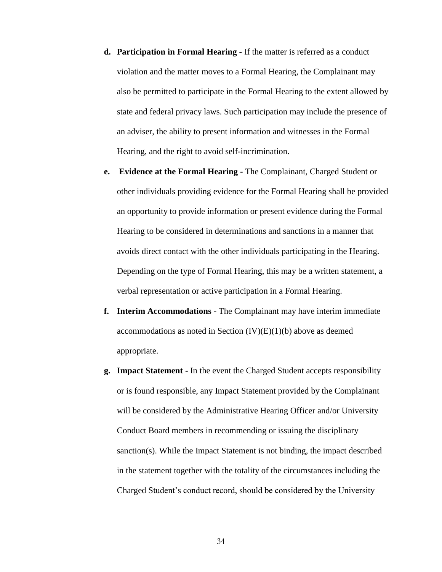- **d. Participation in Formal Hearing** If the matter is referred as a conduct violation and the matter moves to a Formal Hearing, the Complainant may also be permitted to participate in the Formal Hearing to the extent allowed by state and federal privacy laws. Such participation may include the presence of an adviser, the ability to present information and witnesses in the Formal Hearing, and the right to avoid self-incrimination.
- **e. Evidence at the Formal Hearing -** The Complainant, Charged Student or other individuals providing evidence for the Formal Hearing shall be provided an opportunity to provide information or present evidence during the Formal Hearing to be considered in determinations and sanctions in a manner that avoids direct contact with the other individuals participating in the Hearing. Depending on the type of Formal Hearing, this may be a written statement, a verbal representation or active participation in a Formal Hearing.
- **f. Interim Accommodations -** The Complainant may have interim immediate accommodations as noted in Section  $(IV)(E)(1)(b)$  above as deemed appropriate.
- **g. Impact Statement -** In the event the Charged Student accepts responsibility or is found responsible, any Impact Statement provided by the Complainant will be considered by the Administrative Hearing Officer and/or University Conduct Board members in recommending or issuing the disciplinary sanction(s). While the Impact Statement is not binding, the impact described in the statement together with the totality of the circumstances including the Charged Student's conduct record, should be considered by the University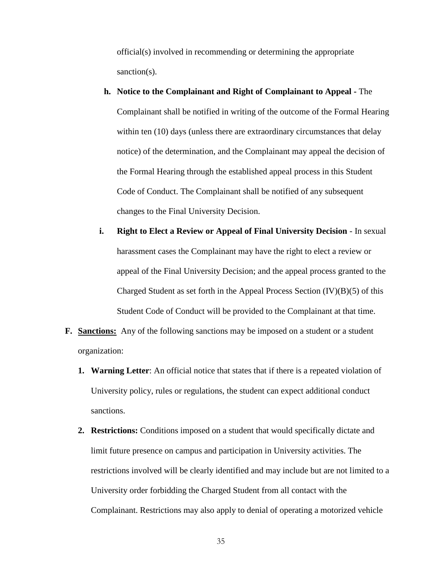official(s) involved in recommending or determining the appropriate sanction(s).

- **h. Notice to the Complainant and Right of Complainant to Appeal -** The Complainant shall be notified in writing of the outcome of the Formal Hearing within ten (10) days (unless there are extraordinary circumstances that delay notice) of the determination, and the Complainant may appeal the decision of the Formal Hearing through the established appeal process in this Student Code of Conduct. The Complainant shall be notified of any subsequent changes to the Final University Decision.
- **i. Right to Elect a Review or Appeal of Final University Decision** In sexual harassment cases the Complainant may have the right to elect a review or appeal of the Final University Decision; and the appeal process granted to the Charged Student as set forth in the Appeal Process Section  $(IV)(B)(5)$  of this Student Code of Conduct will be provided to the Complainant at that time.
- **F.** Sanctions: Any of the following sanctions may be imposed on a student or a student organization:
	- **1. Warning Letter**: An official notice that states that if there is a repeated violation of University policy, rules or regulations, the student can expect additional conduct sanctions.
	- **2. Restrictions:** Conditions imposed on a student that would specifically dictate and limit future presence on campus and participation in University activities. The restrictions involved will be clearly identified and may include but are not limited to a University order forbidding the Charged Student from all contact with the Complainant. Restrictions may also apply to denial of operating a motorized vehicle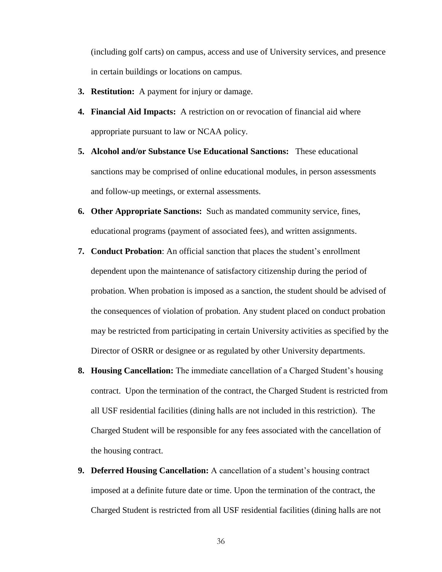(including golf carts) on campus, access and use of University services, and presence in certain buildings or locations on campus.

- **3. Restitution:** A payment for injury or damage.
- **4. Financial Aid Impacts:** A restriction on or revocation of financial aid where appropriate pursuant to law or NCAA policy.
- **5. Alcohol and/or Substance Use Educational Sanctions:** These educational sanctions may be comprised of online educational modules, in person assessments and follow-up meetings, or external assessments.
- **6. Other Appropriate Sanctions:** Such as mandated community service, fines, educational programs (payment of associated fees), and written assignments.
- **7. Conduct Probation**: An official sanction that places the student's enrollment dependent upon the maintenance of satisfactory citizenship during the period of probation. When probation is imposed as a sanction, the student should be advised of the consequences of violation of probation. Any student placed on conduct probation may be restricted from participating in certain University activities as specified by the Director of OSRR or designee or as regulated by other University departments.
- **8. Housing Cancellation:** The immediate cancellation of a Charged Student's housing contract. Upon the termination of the contract, the Charged Student is restricted from all USF residential facilities (dining halls are not included in this restriction). The Charged Student will be responsible for any fees associated with the cancellation of the housing contract.
- **9. Deferred Housing Cancellation:** A cancellation of a student's housing contract imposed at a definite future date or time. Upon the termination of the contract, the Charged Student is restricted from all USF residential facilities (dining halls are not
	- 36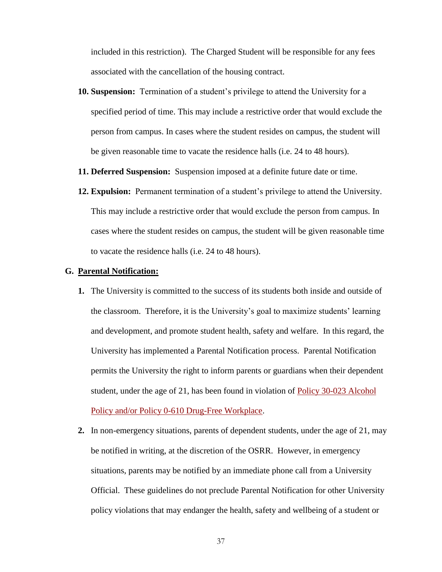included in this restriction). The Charged Student will be responsible for any fees associated with the cancellation of the housing contract.

- **10. Suspension:** Termination of a student's privilege to attend the University for a specified period of time. This may include a restrictive order that would exclude the person from campus. In cases where the student resides on campus, the student will be given reasonable time to vacate the residence halls (i.e. 24 to 48 hours).
- **11. Deferred Suspension:** Suspension imposed at a definite future date or time.
- **12. Expulsion:** Permanent termination of a student's privilege to attend the University. This may include a restrictive order that would exclude the person from campus. In cases where the student resides on campus, the student will be given reasonable time to vacate the residence halls (i.e. 24 to 48 hours).

#### **G. Parental Notification:**

- **1.** The University is committed to the success of its students both inside and outside of the classroom. Therefore, it is the University's goal to maximize students' learning and development, and promote student health, safety and welfare. In this regard, the University has implemented a Parental Notification process. Parental Notification permits the University the right to inform parents or guardians when their dependent student, under the age of 21, has been found in violation of [Policy 30-023 Alcohol](http://regulationspolicies.usf.edu/policies-and-procedures/pdfs/policy-30-023.pdf)  [Policy](http://regulationspolicies.usf.edu/policies-and-procedures/pdfs/policy-30-023.pdf) and/or [Policy 0-610 Drug-Free Workplace.](http://regulationspolicies.usf.edu/policies-and-procedures/pdfs/policy-0-610.pdf)
- **2.** In non-emergency situations, parents of dependent students, under the age of 21, may be notified in writing, at the discretion of the OSRR. However, in emergency situations, parents may be notified by an immediate phone call from a University Official. These guidelines do not preclude Parental Notification for other University policy violations that may endanger the health, safety and wellbeing of a student or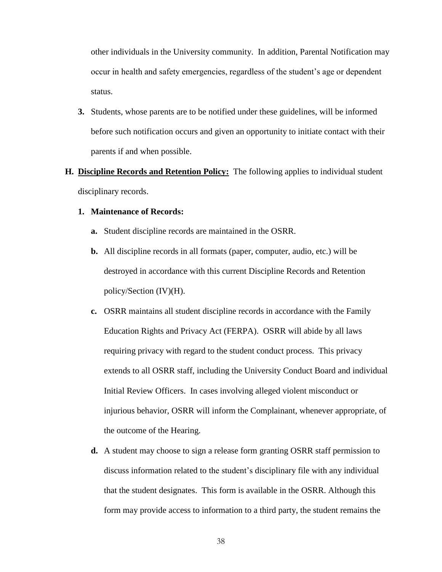other individuals in the University community. In addition, Parental Notification may occur in health and safety emergencies, regardless of the student's age or dependent status.

**3.** Students, whose parents are to be notified under these guidelines, will be informed before such notification occurs and given an opportunity to initiate contact with their parents if and when possible.

# **H. Discipline Records and Retention Policy:** The following applies to individual student disciplinary records.

# **1. Maintenance of Records:**

- **a.** Student discipline records are maintained in the OSRR.
- **b.** All discipline records in all formats (paper, computer, audio, etc.) will be destroyed in accordance with this current Discipline Records and Retention policy/Section (IV)(H).
- **c.** OSRR maintains all student discipline records in accordance with the Family Education Rights and Privacy Act (FERPA). OSRR will abide by all laws requiring privacy with regard to the student conduct process. This privacy extends to all OSRR staff, including the University Conduct Board and individual Initial Review Officers. In cases involving alleged violent misconduct or injurious behavior, OSRR will inform the Complainant, whenever appropriate, of the outcome of the Hearing.
- **d.** A student may choose to sign a release form granting OSRR staff permission to discuss information related to the student's disciplinary file with any individual that the student designates. This form is available in the OSRR. Although this form may provide access to information to a third party, the student remains the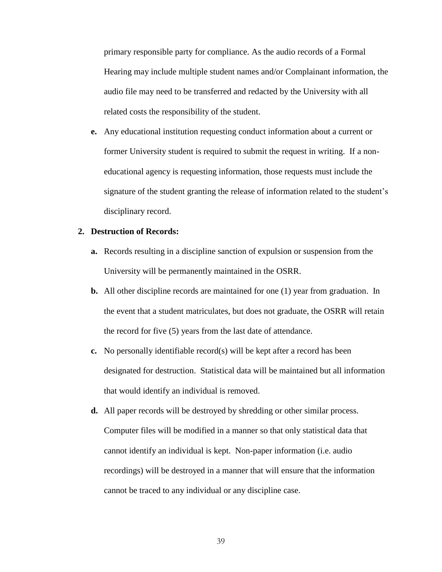primary responsible party for compliance. As the audio records of a Formal Hearing may include multiple student names and/or Complainant information, the audio file may need to be transferred and redacted by the University with all related costs the responsibility of the student.

**e.** Any educational institution requesting conduct information about a current or former University student is required to submit the request in writing. If a noneducational agency is requesting information, those requests must include the signature of the student granting the release of information related to the student's disciplinary record.

# **2. Destruction of Records:**

- **a.** Records resulting in a discipline sanction of expulsion or suspension from the University will be permanently maintained in the OSRR.
- **b.** All other discipline records are maintained for one (1) year from graduation. In the event that a student matriculates, but does not graduate, the OSRR will retain the record for five (5) years from the last date of attendance.
- **c.** No personally identifiable record(s) will be kept after a record has been designated for destruction. Statistical data will be maintained but all information that would identify an individual is removed.
- **d.** All paper records will be destroyed by shredding or other similar process. Computer files will be modified in a manner so that only statistical data that cannot identify an individual is kept. Non-paper information (i.e. audio recordings) will be destroyed in a manner that will ensure that the information cannot be traced to any individual or any discipline case.